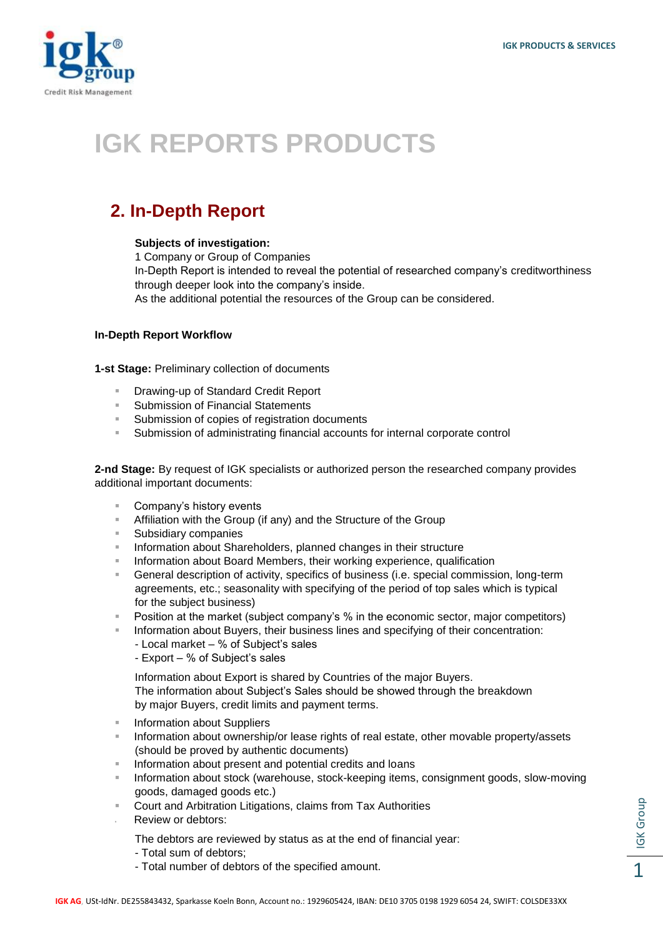

# **IGK REPORTS PRODUCTS**

## **2. In-Depth Report**

#### **Subjects of investigation:**

1 Company or Group of Companies In-Depth Report is intended to reveal the potential of researched company's creditworthiness through deeper look into the company's inside. As the additional potential the resources of the Group can be considered.

### **In-Depth Report Workflow**

**1-st Stage:** Preliminary collection of documents

- Drawing-up of Standard Credit Report
- Submission of Financial Statements
- Submission of copies of registration documents
- Submission of administrating financial accounts for internal corporate control

**2-nd Stage:** By request of IGK specialists or authorized person the researched company provides additional important documents:

- Company's history events
- **EXECUTE:** Affiliation with the Group (if any) and the Structure of the Group
- Subsidiary companies
- **Information about Shareholders, planned changes in their structure**
- Information about Board Members, their working experience, qualification
- General description of activity, specifics of business (i.e. special commission, long-term agreements, etc.; seasonality with specifying of the period of top sales which is typical for the subject business)
- **Position at the market (subject company's % in the economic sector, major competitors)**
- Information about Buyers, their business lines and specifying of their concentration:
	- Local market % of Subject's sales
	- Export % of Subject's sales

 Information about Export is shared by Countries of the major Buyers. The information about Subject's Sales should be showed through the breakdown

by major Buyers, credit limits and payment terms.

- Information about Suppliers
- Information about ownership/or lease rights of real estate, other movable property/assets (should be proved by authentic documents)
- **Information about present and potential credits and loans**
- Information about stock (warehouse, stock-keeping items, consignment goods, slow-moving goods, damaged goods etc.)
- Court and Arbitration Litigations, claims from Tax Authorities
- Review or debtors:
	- The debtors are reviewed by status as at the end of financial year:
	- Total sum of debtors;
	- Total number of debtors of the specified amount.